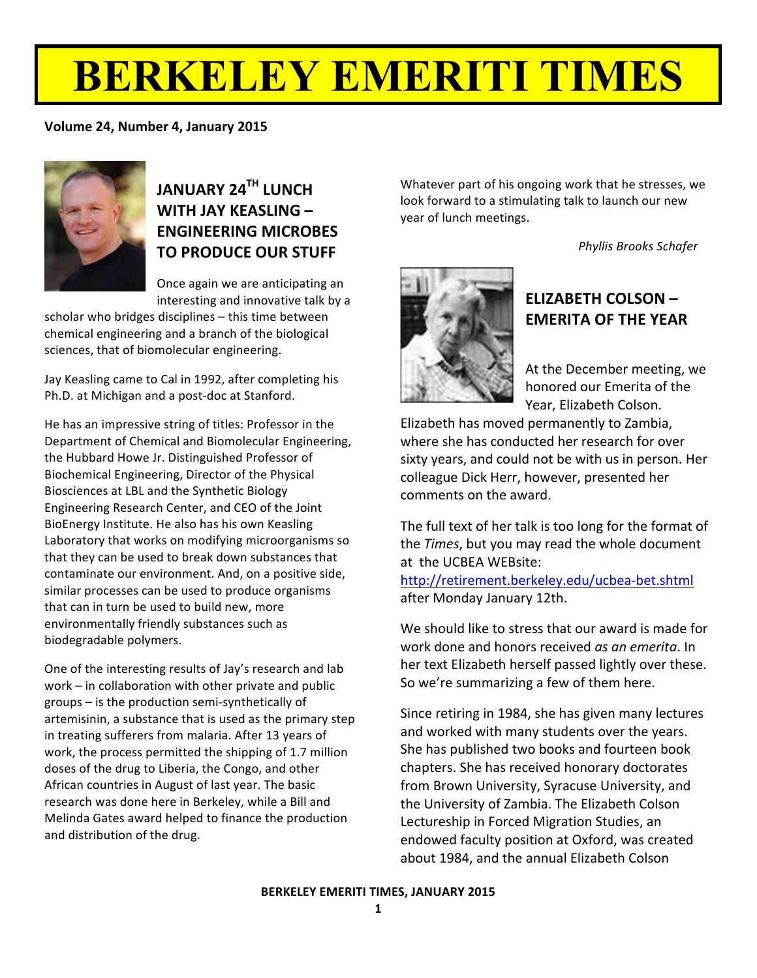# **BERKELEY EMERITI TIMES**

#### **Volume 24, Number 4, January 2015**



### **JANUARY!24TH LUNCH! WITH!JAY!KEASLING – ENGINEERING!MICROBES TO PRODUCE OUR STUFF**

Once again we are anticipating an interesting and innovative talk by a

scholar who bridges disciplines – this time between chemical engineering and a branch of the biological sciences, that of biomolecular engineering.

Jay Keasling came to Cal in 1992, after completing his Ph.D. at Michigan and a post-doc at Stanford.

He has an impressive string of titles: Professor in the Department of Chemical and Biomolecular Engineering, the Hubbard Howe Jr. Distinguished Professor of Biochemical Engineering, Director of the Physical Biosciences at LBL and the Synthetic Biology Engineering Research Center, and CEO of the Joint BioEnergy Institute. He also has his own Keasling Laboratory that works on modifying microorganisms so that they can be used to break down substances that contaminate our environment. And, on a positive side, similar processes can be used to produce organisms that can in turn be used to build new, more environmentally friendly substances such as biodegradable polymers.

One of the interesting results of Jay's research and lab work – in collaboration with other private and public groups – is the production semi-synthetically of artemisinin, a substance that is used as the primary step in treating sufferers from malaria. After 13 years of work, the process permitted the shipping of 1.7 million doses of the drug to Liberia, the Congo, and other African countries in August of last year. The basic research was done here in Berkeley, while a Bill and Melinda Gates award helped to finance the production and distribution of the drug.

Whatever part of his ongoing work that he stresses, we look forward to a stimulating talk to launch our new year of lunch meetings.

*Phyllis'Brooks'Schafer*



#### **ELIZABETH COLSON – EMERITA OF THE YEAR**

At the December meeting, we honored our Emerita of the Year, Elizabeth Colson.

Elizabeth has moved permanently to Zambia, where she has conducted her research for over sixty years, and could not be with us in person. Her colleague Dick Herr, however, presented her comments on the award.

The full text of her talk is too long for the format of the *Times*, but you may read the whole document at the UCBEA WEBsite:

http://retirement.berkeley.edu/ucbea-bet.shtml after Monday January 12th.

We should like to stress that our award is made for work done and honors received *as an emerita*. In her text Elizabeth herself passed lightly over these. So we're summarizing a few of them here.

Since retiring in 1984, she has given many lectures and worked with many students over the years. She has published two books and fourteen book chapters. She has received honorary doctorates from Brown University, Syracuse University, and the University of Zambia. The Elizabeth Colson Lectureship in Forced Migration Studies, an endowed faculty position at Oxford, was created about 1984, and the annual Elizabeth Colson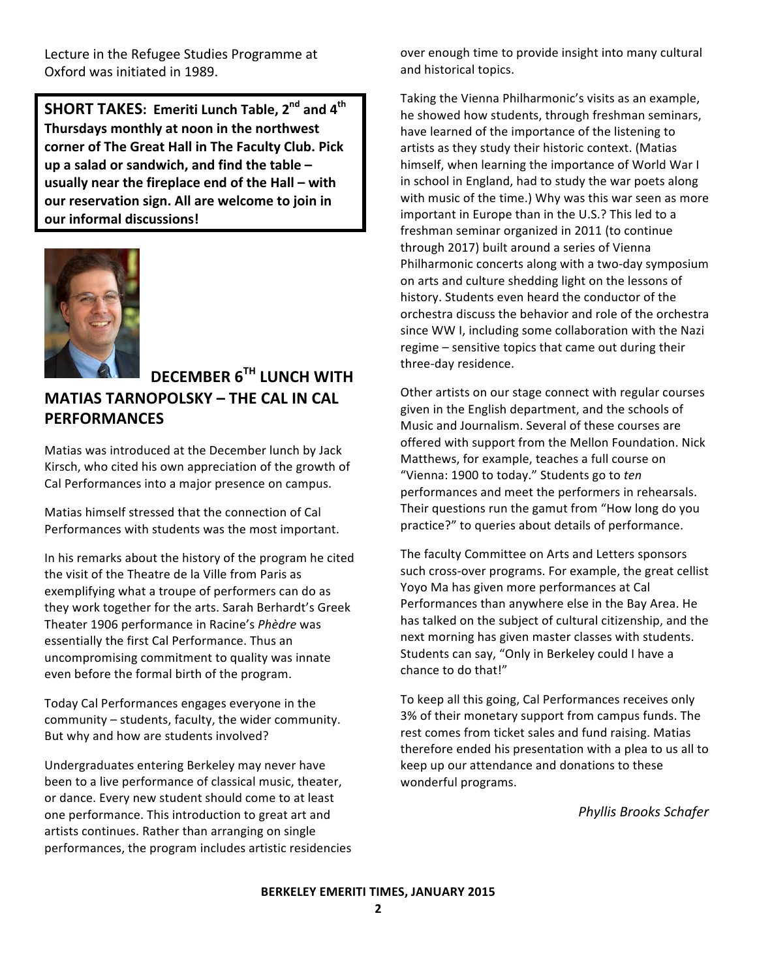Lecture in the Refugee Studies Programme at Oxford was initiated in 1989.

**SHORT TAKES: Emeriti Lunch Table, 2<sup>nd</sup> and 4<sup>th</sup>** Thursdays monthly at noon in the northwest **corner of The Great Hall in The Faculty Club. Pick** up a salad or sandwich, and find the table – **usually near the fireplace end of the Hall – with our** reservation sign. All are welcome to join in **our informal discussions!** 



#### **DECEMBER!6TH LUNCH!WITH!**

#### **MATIAS!TARNOPOLSKY!– THE!CAL!IN!CAL! PERFORMANCES**

Matias was introduced at the December lunch by Jack Kirsch, who cited his own appreciation of the growth of Cal Performances into a major presence on campus.

Matias himself stressed that the connection of Cal Performances with students was the most important.

In his remarks about the history of the program he cited the visit of the Theatre de la Ville from Paris as exemplifying what a troupe of performers can do as they work together for the arts. Sarah Berhardt's Greek Theater 1906 performance in Racine's Phèdre was essentially the first Cal Performance. Thus an uncompromising commitment to quality was innate even before the formal birth of the program.

Today Cal Performances engages everyone in the community – students, faculty, the wider community. But why and how are students involved?

Undergraduates entering Berkeley may never have been to a live performance of classical music, theater, or dance. Every new student should come to at least one performance. This introduction to great art and artists continues. Rather than arranging on single performances, the program includes artistic residencies over enough time to provide insight into many cultural and historical topics.

Taking the Vienna Philharmonic's visits as an example, he showed how students, through freshman seminars, have learned of the importance of the listening to artists as they study their historic context. (Matias himself, when learning the importance of World War I in school in England, had to study the war poets along with music of the time.) Why was this war seen as more important in Europe than in the U.S.? This led to a freshman seminar organized in 2011 (to continue through 2017) built around a series of Vienna Philharmonic concerts along with a two-day symposium on arts and culture shedding light on the lessons of history. Students even heard the conductor of the orchestra discuss the behavior and role of the orchestra since WW I, including some collaboration with the Nazi regime – sensitive topics that came out during their three-day residence.

Other artists on our stage connect with regular courses given in the English department, and the schools of Music and Journalism. Several of these courses are offered with support from the Mellon Foundation. Nick Matthews, for example, teaches a full course on "Vienna: 1900 to today." Students go to ten performances and meet the performers in rehearsals. Their questions run the gamut from "How long do you practice?" to queries about details of performance.

The faculty Committee on Arts and Letters sponsors such cross-over programs. For example, the great cellist Yoyo Ma has given more performances at Cal Performances than anywhere else in the Bay Area. He has talked on the subject of cultural citizenship, and the next morning has given master classes with students. Students can say, "Only in Berkeley could I have a chance to do that!"

To keep all this going, Cal Performances receives only 3% of their monetary support from campus funds. The rest comes from ticket sales and fund raising. Matias therefore ended his presentation with a plea to us all to keep up our attendance and donations to these wonderful programs.

**Phyllis Brooks Schafer**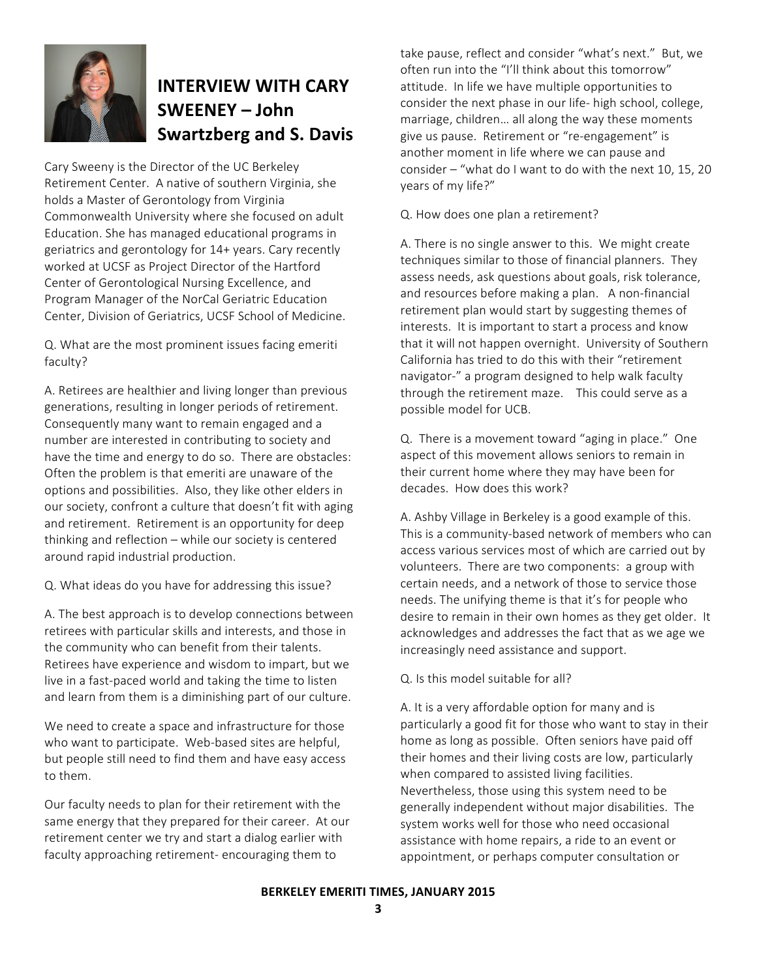

### **INTERVIEW WITH CARY SWEENEY – John! Swartzberg!and!S. Davis**

Cary Sweeny is the Director of the UC Berkeley Retirement Center. A native of southern Virginia, she holds a Master of Gerontology from Virginia Commonwealth University where she focused on adult Education. She has managed educational programs in geriatrics and gerontology for 14+ years. Cary recently worked at UCSF as Project Director of the Hartford Center of Gerontological Nursing Excellence, and Program Manager of the NorCal Geriatric Education Center, Division of Geriatrics, UCSF School of Medicine.

Q. What are the most prominent issues facing emeriti faculty?

A. Retirees are healthier and living longer than previous generations, resulting in longer periods of retirement. Consequently many want to remain engaged and a number are interested in contributing to society and have the time and energy to do so. There are obstacles: Often the problem is that emeriti are unaware of the options and possibilities. Also, they like other elders in our society, confront a culture that doesn't fit with aging and retirement. Retirement is an opportunity for deep thinking and reflection – while our society is centered around rapid industrial production.

Q. What ideas do you have for addressing this issue?

A. The best approach is to develop connections between retirees with particular skills and interests, and those in the community who can benefit from their talents. Retirees have experience and wisdom to impart, but we live in a fast-paced world and taking the time to listen and learn from them is a diminishing part of our culture.

We need to create a space and infrastructure for those who want to participate. Web-based sites are helpful, but people still need to find them and have easy access to them.

Our faculty needs to plan for their retirement with the same energy that they prepared for their career. At our retirement center we try and start a dialog earlier with faculty approaching retirement-encouraging them to

take pause, reflect and consider "what's next." But, we often run into the "I'll think about this tomorrow" attitude. In life we have multiple opportunities to consider the next phase in our life- high school, college, marriage, children... all along the way these moments give us pause. Retirement or "re-engagement" is another moment in life where we can pause and consider – "what do I want to do with the next 10, 15, 20 years of my life?"

Q. How does one plan a retirement?

A. There is no single answer to this. We might create techniques similar to those of financial planners. They assess needs, ask questions about goals, risk tolerance, and resources before making a plan. A non-financial retirement plan would start by suggesting themes of interests. It is important to start a process and know that it will not happen overnight. University of Southern California has tried to do this with their "retirement navigator-" a program designed to help walk faculty through the retirement maze. This could serve as a possible model for UCB.

Q. There is a movement toward "aging in place." One aspect of this movement allows seniors to remain in their current home where they may have been for decades. How does this work?

A. Ashby Village in Berkeley is a good example of this. This is a community-based network of members who can access various services most of which are carried out by volunteers. There are two components: a group with certain needs, and a network of those to service those needs. The unifying theme is that it's for people who desire to remain in their own homes as they get older. It acknowledges and addresses the fact that as we age we increasingly need assistance and support.

Q. Is this model suitable for all?

A. It is a very affordable option for many and is particularly a good fit for those who want to stay in their home as long as possible. Often seniors have paid off their homes and their living costs are low, particularly when compared to assisted living facilities. Nevertheless, those using this system need to be generally independent without major disabilities. The system works well for those who need occasional assistance with home repairs, a ride to an event or appointment, or perhaps computer consultation or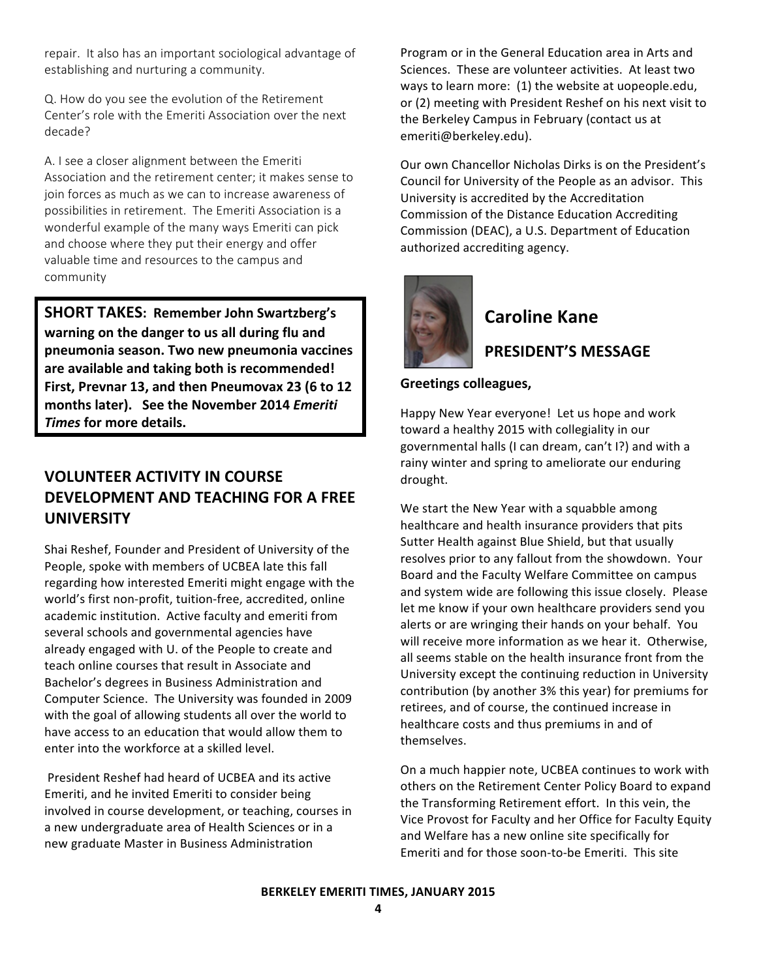repair. It also has an important sociological advantage of establishing and nurturing a community.

Q. How do you see the evolution of the Retirement Center's role with the Emeriti Association over the next decade?

A. I see a closer alignment between the Emeriti Association and the retirement center; it makes sense to join forces as much as we can to increase awareness of possibilities in retirement. The Emeriti Association is a wonderful example of the many ways Emeriti can pick and choose where they put their energy and offer valuable time and resources to the campus and community

**SHORT TAKES: Remember John Swartzberg's** warning on the danger to us all during flu and pneumonia season. Two new pneumonia vaccines are available and taking both is recommended! First, Prevnar 13, and then Pneumovax 23 (6 to 12 months later). See the November 2014 Emeriti Times for more details.

#### **VOLUNTEER ACTIVITY IN COURSE DEVELOPMENT AND TEACHING FOR A FREE UNIVERSITY**

Shai Reshef, Founder and President of University of the People, spoke with members of UCBEA late this fall regarding how interested Emeriti might engage with the world's first non-profit, tuition-free, accredited, online academic institution. Active faculty and emeriti from several schools and governmental agencies have already engaged with U. of the People to create and teach online courses that result in Associate and Bachelor's degrees in Business Administration and Computer Science. The University was founded in 2009 with the goal of allowing students all over the world to have access to an education that would allow them to enter into the workforce at a skilled level.

President Reshef had heard of UCBEA and its active Emeriti, and he invited Emeriti to consider being involved in course development, or teaching, courses in a new undergraduate area of Health Sciences or in a new graduate Master in Business Administration

Program or in the General Education area in Arts and Sciences. These are volunteer activities. At least two ways to learn more: (1) the website at uopeople.edu, or (2) meeting with President Reshef on his next visit to the Berkeley Campus in February (contact us at emeriti@berkeley.edu).

Our own Chancellor Nicholas Dirks is on the President's Council for University of the People as an advisor. This University is accredited by the Accreditation Commission of the Distance Education Accrediting Commission (DEAC), a U.S. Department of Education authorized accrediting agency.



#### **Caroline Kane**

#### **PRESIDENT'S MESSAGE**

#### **Greetings colleagues,**

Happy New Year everyone! Let us hope and work toward a healthy 2015 with collegiality in our governmental halls (I can dream, can't I?) and with a rainy winter and spring to ameliorate our enduring drought.

We start the New Year with a squabble among healthcare and health insurance providers that pits Sutter Health against Blue Shield, but that usually resolves prior to any fallout from the showdown. Your Board and the Faculty Welfare Committee on campus and system wide are following this issue closely. Please let me know if your own healthcare providers send you alerts or are wringing their hands on your behalf. You will receive more information as we hear it. Otherwise. all seems stable on the health insurance front from the University except the continuing reduction in University contribution (by another 3% this year) for premiums for retirees, and of course, the continued increase in healthcare costs and thus premiums in and of themselves.

On a much happier note, UCBEA continues to work with others on the Retirement Center Policy Board to expand the Transforming Retirement effort. In this vein, the Vice Provost for Faculty and her Office for Faculty Equity and Welfare has a new online site specifically for Emeriti and for those soon-to-be Emeriti. This site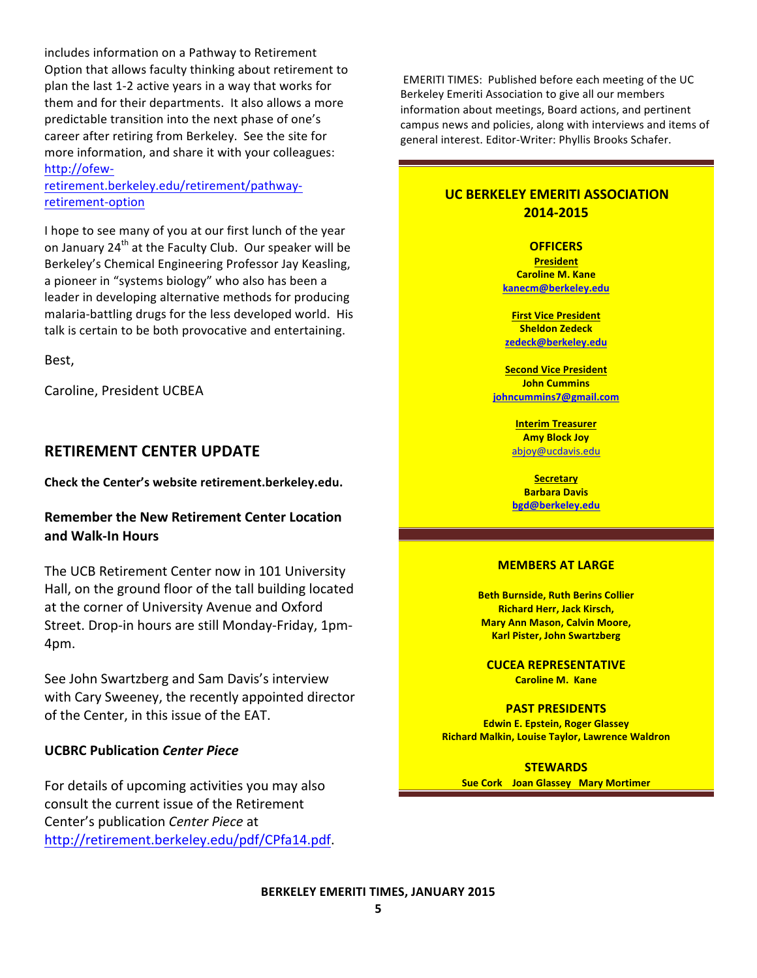includes information on a Pathway to Retirement Option that allows faculty thinking about retirement to plan the last 1-2 active years in a way that works for them and for their departments. It also allows a more predictable transition into the next phase of one's career after retiring from Berkeley. See the site for more information, and share it with your colleagues: http://ofew-

retirement.berkeley.edu/retirement/pathwayretirement-option

I hope to see many of you at our first lunch of the year on January 24<sup>th</sup> at the Faculty Club. Our speaker will be Berkeley's Chemical Engineering Professor Jay Keasling, a pioneer in "systems biology" who also has been a leader in developing alternative methods for producing malaria-battling drugs for the less developed world. His talk is certain to be both provocative and entertaining.

Best,

Caroline, President UCBEA

#### **RETIREMENT CENTER UPDATE**

Check the Center's website retirement.berkeley.edu.

#### **Remember the New Retirement Center Location** and Walk-In Hours

The UCB Retirement Center now in 101 University Hall, on the ground floor of the tall building located at the corner of University Avenue and Oxford Street. Drop-in hours are still Monday-Friday, 1pm-4pm.!

See John Swartzberg and Sam Davis's interview with Cary Sweeney, the recently appointed director of the Center, in this issue of the EAT.

#### **UCBRC!Publication!***Center'Piece*

For details of upcoming activities you may also consult the current issue of the Retirement Center's publication *Center Piece* at http://retirement.berkeley.edu/pdf/CPfa14.pdf.

EMERITI TIMES: Published before each meeting of the UC Berkeley Emeriti Association to give all our members information about meetings, Board actions, and pertinent campus news and policies, along with interviews and items of general interest. Editor-Writer: Phyllis Brooks Schafer.

#### **UC BERKELEY EMERITI ASSOCIATION 2014-2015**

**OFFICERS President Caroline M. Kane kanecm@berkeley.edu**

**First Vice President Sheldon!Zedeck zedeck@berkeley.edu**

**Second Vice President John Cummins johncummins7@gmail.com**

> **Interim Treasurer Amy!Block!Joy** abjoy@ucdavis.edu

**Secretary Barbara!Davis bgd@berkeley.edu**

#### **MEMBERS AT LARGE**

**Beth Burnside, Ruth Berins Collier Richard Herr, Jack Kirsch, Mary Ann Mason, Calvin Moore, Karl Pister, John Swartzberg** 

**CUCEA!REPRESENTATIVE Caroline M. Kane** 

**PAST!PRESIDENTS Edwin E. Epstein, Roger Glassey Richard Malkin, Louise Taylor, Lawrence Waldron** 

**STEWARDS Sue Cork Joan Glassey Mary Mortimer**